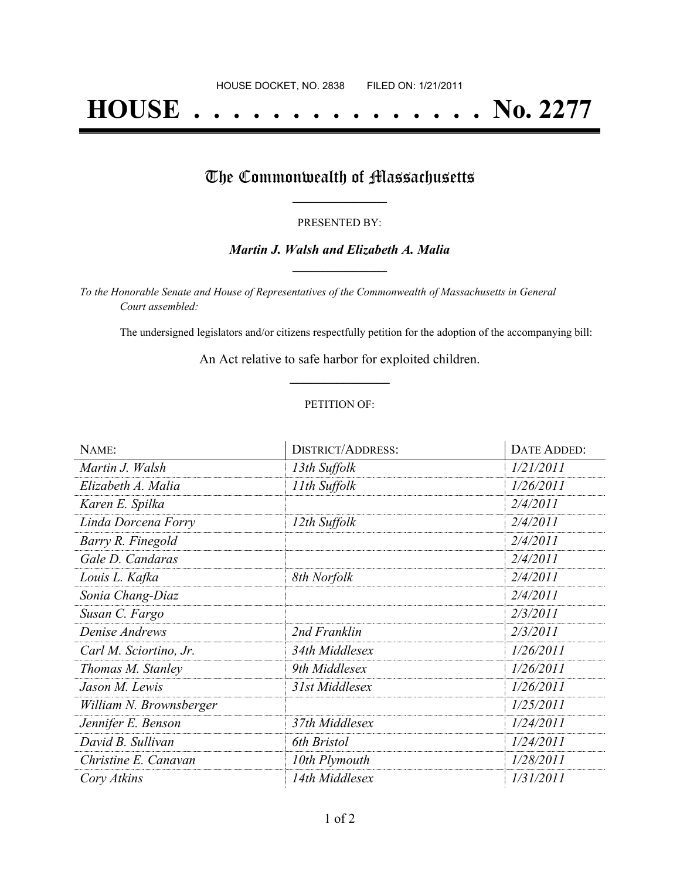# **HOUSE . . . . . . . . . . . . . . . No. 2277**

## The Commonwealth of Massachusetts

#### PRESENTED BY:

#### *Martin J. Walsh and Elizabeth A. Malia* **\_\_\_\_\_\_\_\_\_\_\_\_\_\_\_\_\_**

*To the Honorable Senate and House of Representatives of the Commonwealth of Massachusetts in General Court assembled:*

The undersigned legislators and/or citizens respectfully petition for the adoption of the accompanying bill:

An Act relative to safe harbor for exploited children. **\_\_\_\_\_\_\_\_\_\_\_\_\_\_\_**

#### PETITION OF:

| NAME:                   | <b>DISTRICT/ADDRESS:</b> | DATE ADDED: |
|-------------------------|--------------------------|-------------|
| Martin J. Walsh         | 13th Suffolk             | 1/21/2011   |
| Elizabeth A. Malia      | 11th Suffolk             | 1/26/2011   |
| Karen E. Spilka         |                          | 2/4/2011    |
| Linda Dorcena Forry     | 12th Suffolk             | 2/4/2011    |
| Barry R. Finegold       |                          | 2/4/2011    |
| Gale D. Candaras        |                          | 2/4/2011    |
| Louis L. Kafka          | 8th Norfolk              | 2/4/2011    |
| Sonia Chang-Diaz        |                          | 2/4/2011    |
| Susan C. Fargo          |                          | 2/3/2011    |
| Denise Andrews          | 2nd Franklin             | 2/3/2011    |
| Carl M. Sciortino, Jr.  | 34th Middlesex           | 1/26/2011   |
| Thomas M. Stanley       | 9th Middlesex            | 1/26/2011   |
| Jason M. Lewis          | 31st Middlesex           | 1/26/2011   |
| William N. Brownsberger |                          | 1/25/2011   |
| Jennifer E. Benson      | 37th Middlesex           | 1/24/2011   |
| David B. Sullivan       | 6th Bristol              | 1/24/2011   |
| Christine E. Canavan    | 10th Plymouth            | 1/28/2011   |
| Cory Atkins             | 14th Middlesex           | 1/31/2011   |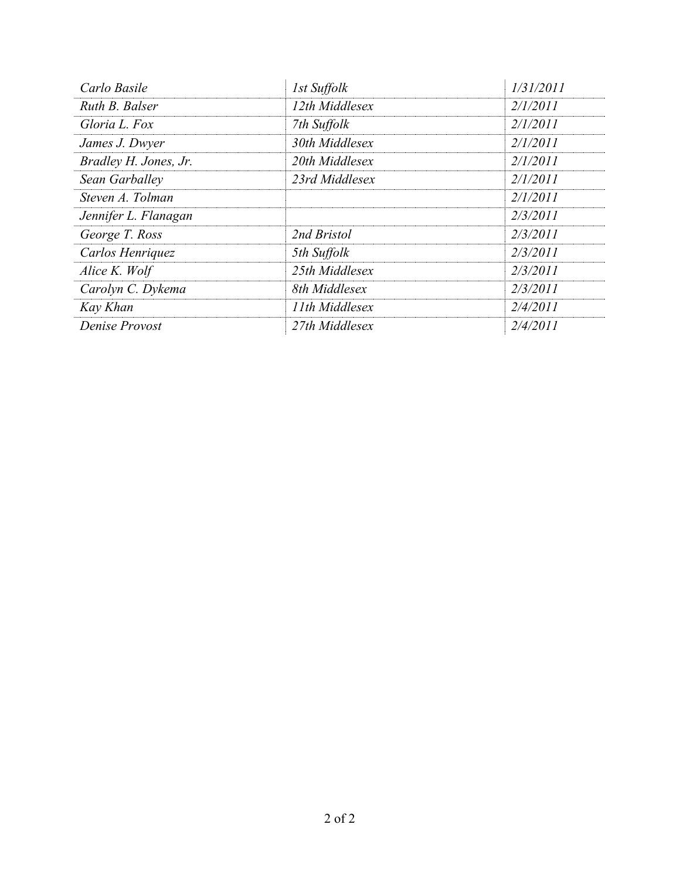| Carlo Basile          | 1st Suffolk    | 1/31/2011       |
|-----------------------|----------------|-----------------|
| Ruth B. Balser        | 12th Middlesex | <i>2/1/2011</i> |
| Gloria L. Fox         | 7th Suffolk    | 2/1/2011        |
| James J. Dwyer        | 30th Middlesex | 2/1/2011        |
| Bradley H. Jones, Jr. | 20th Middlesex | 2/1/2011        |
| Sean Garballey        | 23rd Middlesex | 2/1/2011        |
| Steven A. Tolman      |                | 2/1/2011        |
| Jennifer L. Flanagan  |                | 2/3/2011        |
| George T. Ross        | 2nd Bristol    | 2/3/2011        |
| Carlos Henriquez      | 5th Suffolk    | 2/3/2011        |
| Alice K. Wolf         | 25th Middlesex | 2/3/2011        |
| Carolyn C. Dykema     | 8th Middlesex  | 2/3/2011        |
| Kay Khan              | 11th Middlesex | 2/4/2011        |
| Denise Provost        | 27th Middlesex | 2/4/2011        |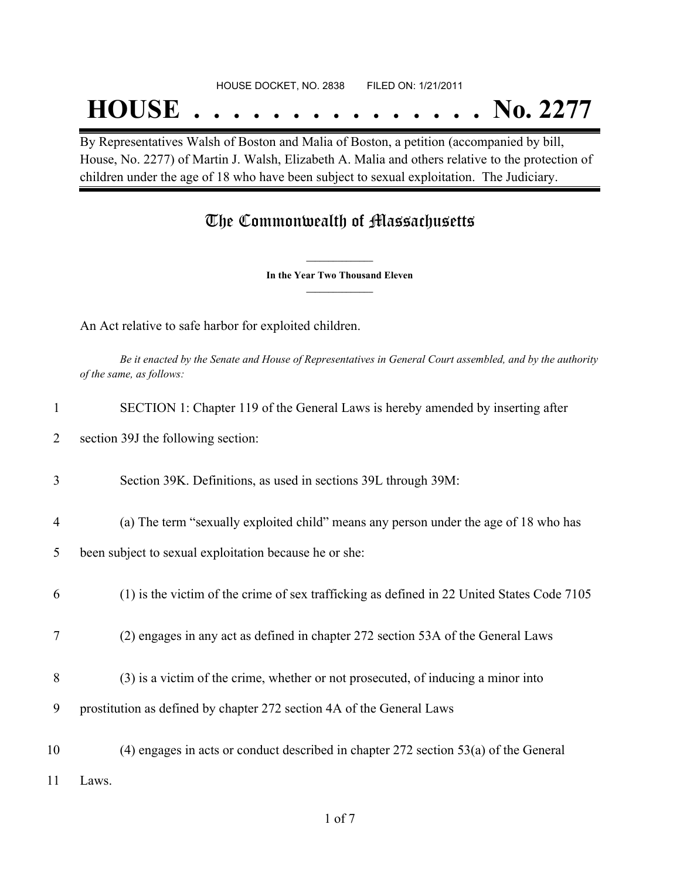#### HOUSE DOCKET, NO. 2838 FILED ON: 1/21/2011

## **HOUSE . . . . . . . . . . . . . . . No. 2277**

By Representatives Walsh of Boston and Malia of Boston, a petition (accompanied by bill, House, No. 2277) of Martin J. Walsh, Elizabeth A. Malia and others relative to the protection of children under the age of 18 who have been subject to sexual exploitation. The Judiciary.

### The Commonwealth of Massachusetts

**\_\_\_\_\_\_\_\_\_\_\_\_\_\_\_ In the Year Two Thousand Eleven \_\_\_\_\_\_\_\_\_\_\_\_\_\_\_**

An Act relative to safe harbor for exploited children.

Be it enacted by the Senate and House of Representatives in General Court assembled, and by the authority *of the same, as follows:*

| $\mathbf{1}$   | SECTION 1: Chapter 119 of the General Laws is hereby amended by inserting after            |
|----------------|--------------------------------------------------------------------------------------------|
| 2              | section 39J the following section:                                                         |
| 3              | Section 39K. Definitions, as used in sections 39L through 39M:                             |
| $\overline{4}$ | (a) The term "sexually exploited child" means any person under the age of 18 who has       |
| 5              | been subject to sexual exploitation because he or she:                                     |
| 6              | (1) is the victim of the crime of sex trafficking as defined in 22 United States Code 7105 |
| 7              | (2) engages in any act as defined in chapter 272 section 53A of the General Laws           |
| 8              | (3) is a victim of the crime, whether or not prosecuted, of inducing a minor into          |
| 9              | prostitution as defined by chapter 272 section 4A of the General Laws                      |
| 10             | $(4)$ engages in acts or conduct described in chapter 272 section 53 $(a)$ of the General  |
| 11             | Laws.                                                                                      |
|                |                                                                                            |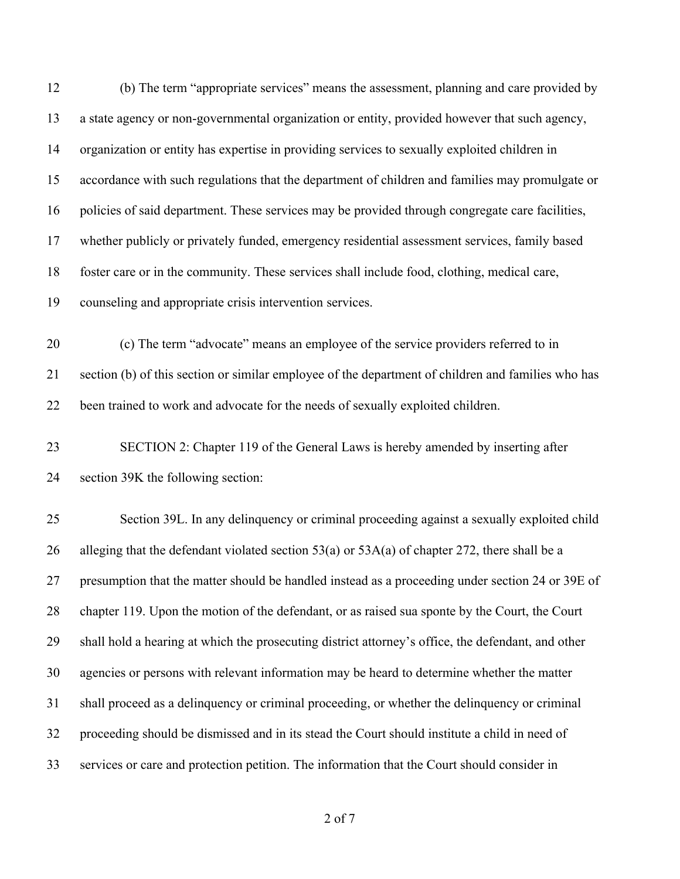| (b) The term "appropriate services" means the assessment, planning and care provided by            |
|----------------------------------------------------------------------------------------------------|
| a state agency or non-governmental organization or entity, provided however that such agency,      |
| organization or entity has expertise in providing services to sexually exploited children in       |
| accordance with such regulations that the department of children and families may promulgate or    |
| policies of said department. These services may be provided through congregate care facilities,    |
| whether publicly or privately funded, emergency residential assessment services, family based      |
| foster care or in the community. These services shall include food, clothing, medical care,        |
| counseling and appropriate crisis intervention services.                                           |
| (c) The term "advocate" means an employee of the service providers referred to in                  |
| section (b) of this section or similar employee of the department of children and families who has |
| been trained to work and advocate for the needs of sexually exploited children.                    |
| SECTION 2: Chapter 119 of the General Laws is hereby amended by inserting after                    |
|                                                                                                    |
| section 39K the following section:                                                                 |
| Section 39L. In any delinquency or criminal proceeding against a sexually exploited child          |
| alleging that the defendant violated section $53(a)$ or $53A(a)$ of chapter 272, there shall be a  |
| presumption that the matter should be handled instead as a proceeding under section 24 or 39E of   |
| chapter 119. Upon the motion of the defendant, or as raised sua sponte by the Court, the Court     |
| shall hold a hearing at which the prosecuting district attorney's office, the defendant, and other |
| agencies or persons with relevant information may be heard to determine whether the matter         |
| shall proceed as a delinquency or criminal proceeding, or whether the delinquency or criminal      |
| proceeding should be dismissed and in its stead the Court should institute a child in need of      |
|                                                                                                    |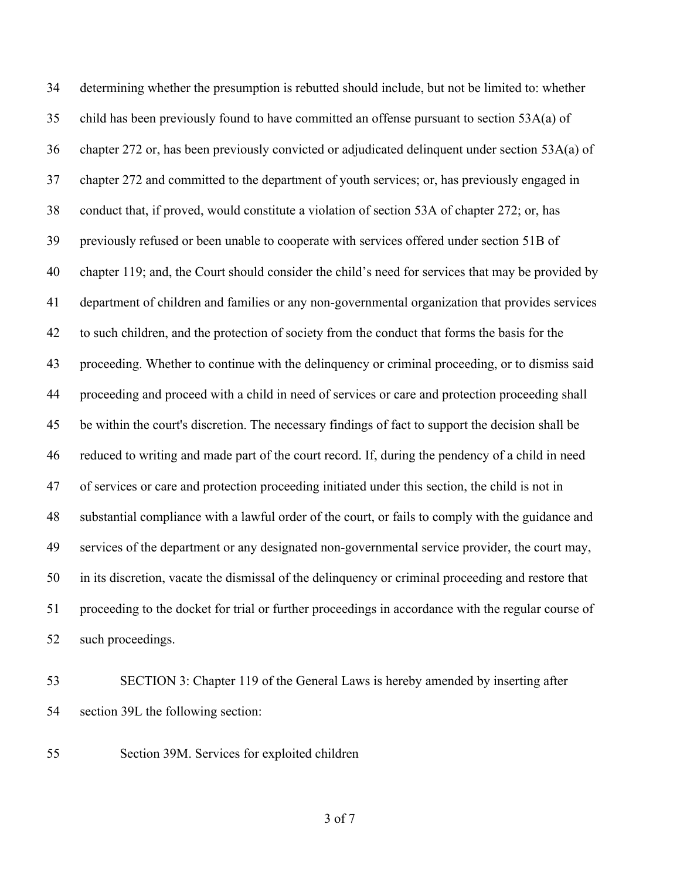determining whether the presumption is rebutted should include, but not be limited to: whether child has been previously found to have committed an offense pursuant to section 53A(a) of chapter 272 or, has been previously convicted or adjudicated delinquent under section 53A(a) of chapter 272 and committed to the department of youth services; or, has previously engaged in conduct that, if proved, would constitute a violation of section 53A of chapter 272; or, has previously refused or been unable to cooperate with services offered under section 51B of chapter 119; and, the Court should consider the child's need for services that may be provided by department of children and families or any non-governmental organization that provides services to such children, and the protection of society from the conduct that forms the basis for the proceeding. Whether to continue with the delinquency or criminal proceeding, or to dismiss said proceeding and proceed with a child in need of services or care and protection proceeding shall be within the court's discretion. The necessary findings of fact to support the decision shall be reduced to writing and made part of the court record. If, during the pendency of a child in need of services or care and protection proceeding initiated under this section, the child is not in substantial compliance with a lawful order of the court, or fails to comply with the guidance and services of the department or any designated non-governmental service provider, the court may, in its discretion, vacate the dismissal of the delinquency or criminal proceeding and restore that proceeding to the docket for trial or further proceedings in accordance with the regular course of such proceedings.

 SECTION 3: Chapter 119 of the General Laws is hereby amended by inserting after section 39L the following section:

Section 39M. Services for exploited children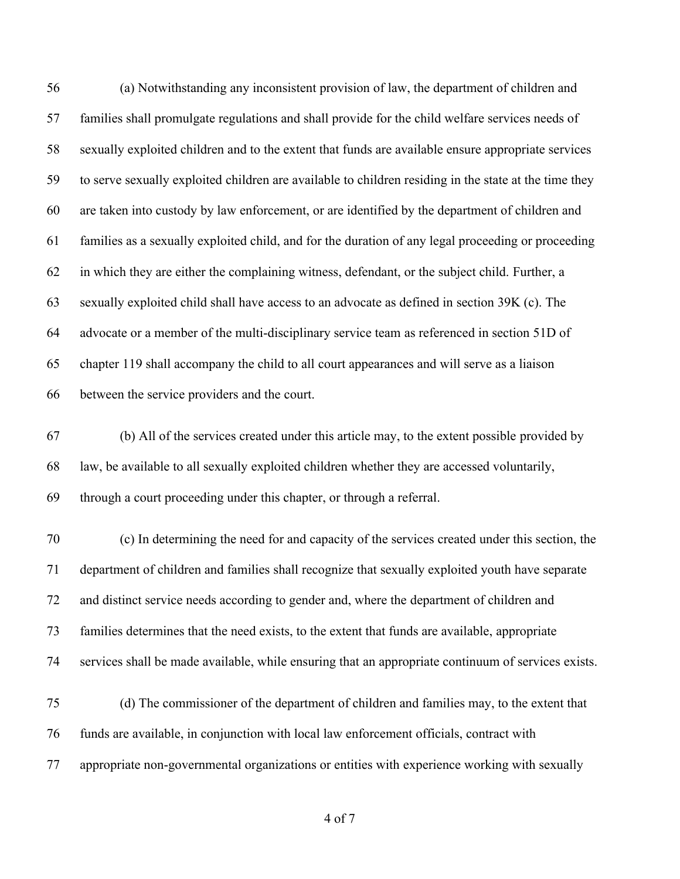(a) Notwithstanding any inconsistent provision of law, the department of children and families shall promulgate regulations and shall provide for the child welfare services needs of sexually exploited children and to the extent that funds are available ensure appropriate services to serve sexually exploited children are available to children residing in the state at the time they are taken into custody by law enforcement, or are identified by the department of children and families as a sexually exploited child, and for the duration of any legal proceeding or proceeding in which they are either the complaining witness, defendant, or the subject child. Further, a sexually exploited child shall have access to an advocate as defined in section 39K (c). The advocate or a member of the multi-disciplinary service team as referenced in section 51D of chapter 119 shall accompany the child to all court appearances and will serve as a liaison between the service providers and the court.

 (b) All of the services created under this article may, to the extent possible provided by law, be available to all sexually exploited children whether they are accessed voluntarily, through a court proceeding under this chapter, or through a referral.

 (c) In determining the need for and capacity of the services created under this section, the department of children and families shall recognize that sexually exploited youth have separate and distinct service needs according to gender and, where the department of children and families determines that the need exists, to the extent that funds are available, appropriate services shall be made available, while ensuring that an appropriate continuum of services exists.

 (d) The commissioner of the department of children and families may, to the extent that funds are available, in conjunction with local law enforcement officials, contract with appropriate non-governmental organizations or entities with experience working with sexually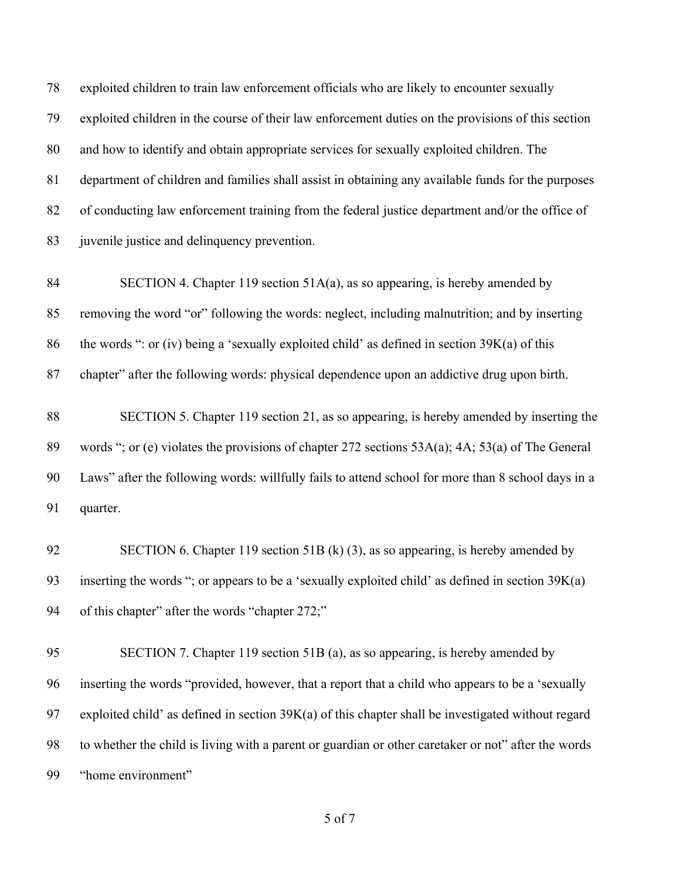exploited children to train law enforcement officials who are likely to encounter sexually exploited children in the course of their law enforcement duties on the provisions of this section and how to identify and obtain appropriate services for sexually exploited children. The department of children and families shall assist in obtaining any available funds for the purposes of conducting law enforcement training from the federal justice department and/or the office of 83 juvenile justice and delinquency prevention.

 SECTION 4. Chapter 119 section 51A(a), as so appearing, is hereby amended by removing the word "or" following the words: neglect, including malnutrition; and by inserting 86 the words ": or (iv) being a 'sexually exploited child' as defined in section  $39K(a)$  of this chapter" after the following words: physical dependence upon an addictive drug upon birth.

 SECTION 5. Chapter 119 section 21, as so appearing, is hereby amended by inserting the words "; or (e) violates the provisions of chapter 272 sections 53A(a); 4A; 53(a) of The General Laws" after the following words: willfully fails to attend school for more than 8 school days in a quarter.

 SECTION 6. Chapter 119 section 51B (k) (3), as so appearing, is hereby amended by inserting the words "; or appears to be a 'sexually exploited child' as defined in section 39K(a) of this chapter" after the words "chapter 272;"

 SECTION 7. Chapter 119 section 51B (a), as so appearing, is hereby amended by inserting the words "provided, however, that a report that a child who appears to be a 'sexually exploited child' as defined in section 39K(a) of this chapter shall be investigated without regard to whether the child is living with a parent or guardian or other caretaker or not" after the words "home environment"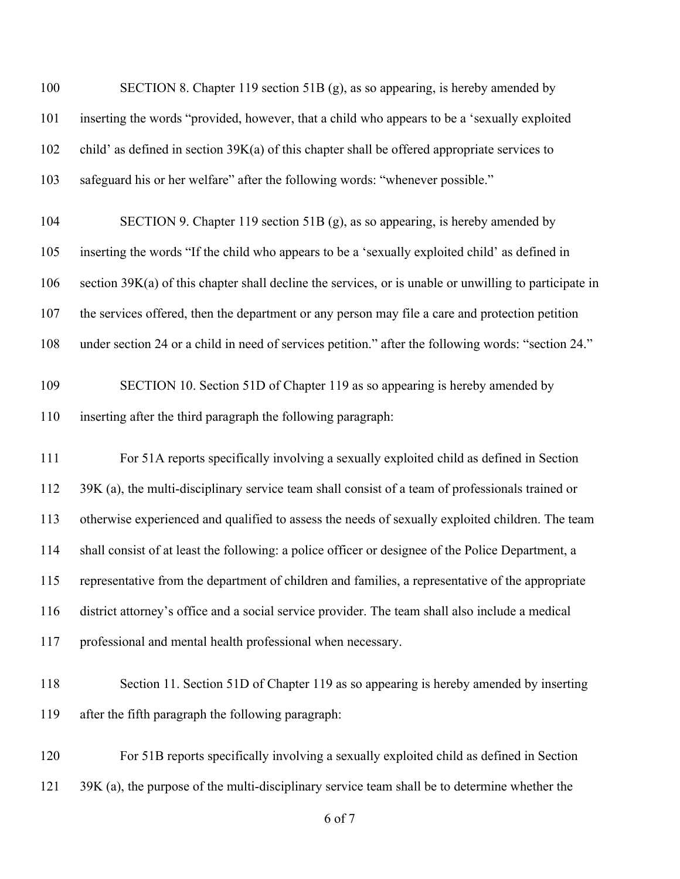| 100 | SECTION 8. Chapter 119 section 51B (g), as so appearing, is hereby amended by                          |
|-----|--------------------------------------------------------------------------------------------------------|
| 101 | inserting the words "provided, however, that a child who appears to be a 'sexually exploited           |
| 102 | child' as defined in section $39K(a)$ of this chapter shall be offered appropriate services to         |
| 103 | safeguard his or her welfare" after the following words: "whenever possible."                          |
| 104 | SECTION 9. Chapter 119 section 51B (g), as so appearing, is hereby amended by                          |
| 105 | inserting the words "If the child who appears to be a 'sexually exploited child' as defined in         |
| 106 | section 39K(a) of this chapter shall decline the services, or is unable or unwilling to participate in |
| 107 | the services offered, then the department or any person may file a care and protection petition        |
| 108 | under section 24 or a child in need of services petition." after the following words: "section 24."    |
| 109 | SECTION 10. Section 51D of Chapter 119 as so appearing is hereby amended by                            |
| 110 | inserting after the third paragraph the following paragraph:                                           |
| 111 | For 51A reports specifically involving a sexually exploited child as defined in Section                |
| 112 | 39K (a), the multi-disciplinary service team shall consist of a team of professionals trained or       |
| 113 | otherwise experienced and qualified to assess the needs of sexually exploited children. The team       |
| 114 | shall consist of at least the following: a police officer or designee of the Police Department, a      |
| 115 | representative from the department of children and families, a representative of the appropriate       |
| 116 | district attorney's office and a social service provider. The team shall also include a medical        |
| 117 | professional and mental health professional when necessary.                                            |
| 118 | Section 11. Section 51D of Chapter 119 as so appearing is hereby amended by inserting                  |
| 119 | after the fifth paragraph the following paragraph:                                                     |
| 120 | For 51B reports specifically involving a sexually exploited child as defined in Section                |
| 121 | 39K (a), the purpose of the multi-disciplinary service team shall be to determine whether the          |